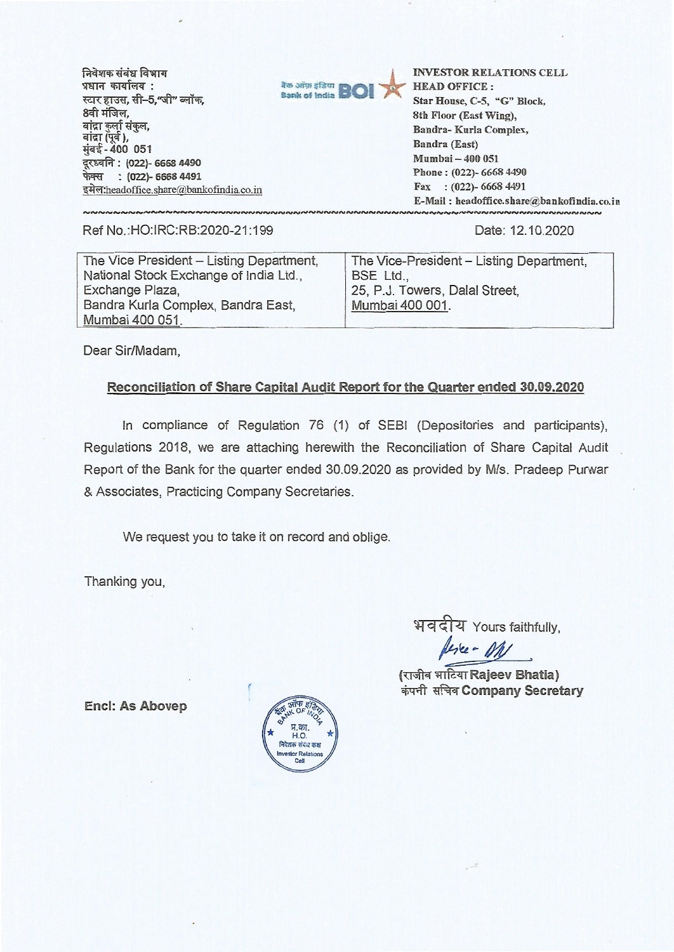**मिवेशक संबंध विभाग 5ffrrq. 41i4i1A44 : स्टार हाउस, सी-5,"जी" ब्लॉक, 8वी** मंजिल, बांद्रा कुर्ला संकुल, बांद्रा (पूर्व ), - **400 051 VE'dft : (022)- 6668 4490 (022)- 6668 4491**  इमेल:headoffice.share@bankofindia.co.in



**INVESTOR RELATIONS CELL HEAD OFFICE : Star House, C-5, "G" Block, 8th Floor (East Wing), Sandra- Kurla Complex, Bandra (East) Mumbai — 400 051 Phone : (022)- 6668 4490 Fax : (022)- 6668 4491 E-Mail : headoffice. share@bankofindia. co.i NNNNNNNNNNNNNNN** 

Ref No.:HO:IRC:RB:2020-21:199 Date: 12.10.2020

The Vice President — Listing Department, National Stock Exchange of India Ltd., Exchange Plaza, Bandra Kurla Complex, Bandra East, Mumbai 400 051. The Vice-President — Listing Department, BSE Ltd., 25, P.J. Towers, Dalai Street, Mumbai 400 001.

Dear Sir/Madam,

## **Reconciliation of Share Capital Audit Report for the Quarter ended 30.09.2020**

In compliance of Regulation 76 (1) of SEBI (Depositories and participants), Regulations 2018, we are attaching herewith the Reconciliation of Share Capital Audit Report of the Bank for the quarter ended 30.09.2020 as provided by M/s. Pradeep Purwar & Associates, Practicing Company Secretaries.

We request you to take it on record and oblige.

Thanking you,

भवदीय Yours faithfully, leve - M/

**(mod writzuRajeev Bhatia) cim** tit .1 **Company Secretary** 

**Encl: As Abovep** 

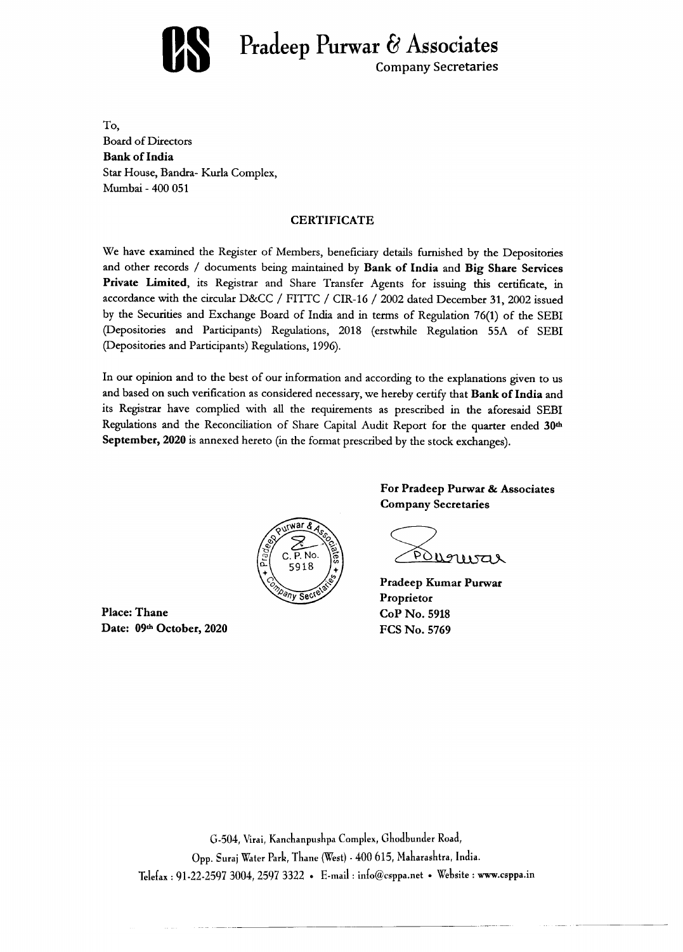

**Pradeep Purwar & Associates** Company Secretaries

To, Board of Directors **Bank of India**  Star House, Bandra- Kurla Complex, Mumbai - 400 051

## **CERTIFICATE**

We have examined the Register of Members, beneficiary details furnished by the Depositories and other records / documents being maintained by **Bank of India** and **Big Share Services**  Private Limited, its Registrar and Share Transfer Agents for issuing this certificate, in accordance with the circular D&CC / FITTC / CIR-16 / 2002 dated December 31, 2002 issued by the Securities and Exchange Board of India and in terms of Regulation 76(1) of the SEBI (Depositories and Participants) Regulations, 2018 (erstwhile Regulation 55A of SEBI (Depositories and Participants) Regulations, 1996).

In our opinion and to the best of our information and according to the explanations given to us and based on such verification as considered necessary, we hereby certify that **Bank of India** and its Registrar have complied with all the requirements as prescribed in the aforesaid SEBI Regulations and the Reconciliation of Share Capital Audit Report for the quarter ended **30th September, 2020** is annexed hereto (in the format prescribed by the stock exchanges).



**Place: Thane Date: 09th October, 2020**  **For Pradeep Purwar & Associates Company Secretaries** 

Pouguvar

**Pradeep Kumar Purwar Proprietor CoP No. 5918 FCS No. 5769** 

G-504, Virai, Kanchanpushpa Complex, Ghodbunder Road, Opp. Suraj Water Park, Thane (West) - 400 615, Maharashtra, India. Telefax : 91-22-2597 3004, 2597 3322 • E-mail : info@csppa.net • Website : www.csppa.in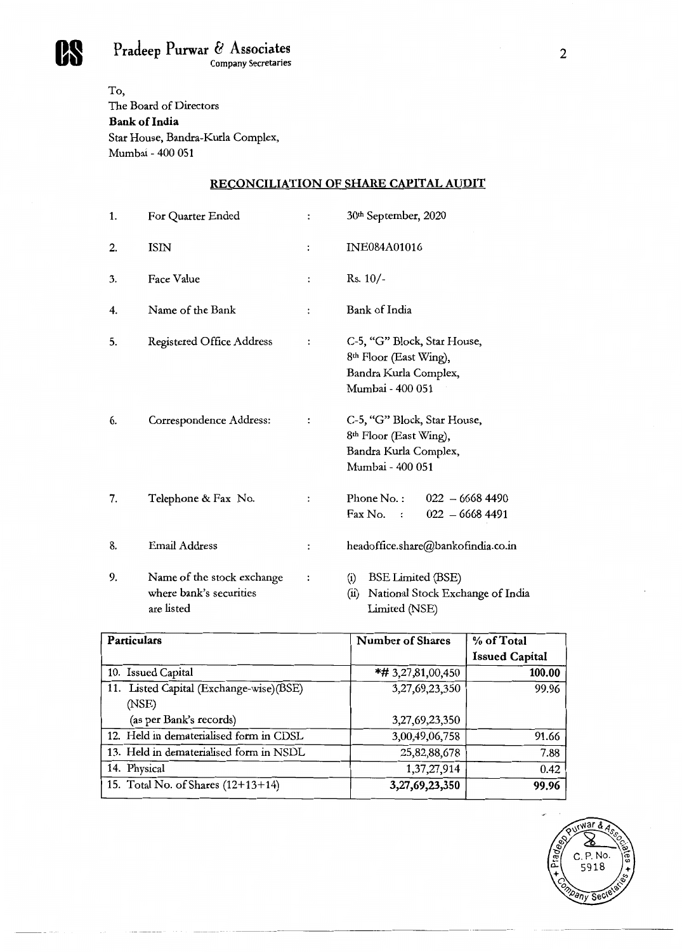**Pradeep Purwar & Associates** 2<br>
Company Secretaries 2

To, The Board of Directors **Bank of India**  Star House, Bandra-Kurla Complex, Mumbai - 400 051

## **RECONCILIATION OF SHARE CAPITAL AUDIT**

| 1. | For Quarter Ended                                                   | $\ddot{\cdot}$       | 30 <sup>th</sup> September, 2020                                                                               |  |  |
|----|---------------------------------------------------------------------|----------------------|----------------------------------------------------------------------------------------------------------------|--|--|
| 2. | <b>ISIN</b>                                                         | $\ddot{\cdot}$       | <b>INE084A01016</b>                                                                                            |  |  |
| 3. | Face Value                                                          | $\ddot{\phantom{a}}$ | $Rs. 10/-$                                                                                                     |  |  |
| 4. | Name of the Bank                                                    | $\ddot{\cdot}$       | Bank of India                                                                                                  |  |  |
| 5. | Registered Office Address                                           | $\ddot{\cdot}$       | C-5, "G" Block, Star House,<br>8 <sup>th</sup> Floor (East Wing),<br>Bandra Kurla Complex,<br>Mumbai - 400 051 |  |  |
| 6. | Correspondence Address:                                             | $\ddot{\cdot}$       | C-5, "G" Block, Star House,<br>8 <sup>th</sup> Floor (East Wing),<br>Bandra Kurla Complex,<br>Mumbai - 400 051 |  |  |
| 7. | Telephone & Fax No.                                                 | $\ddot{\phantom{a}}$ | Phone No.:<br>$022 - 66684490$<br>Fax No.<br>$022 - 66684491$<br>$\cdot$ :                                     |  |  |
| 8. | <b>Email Address</b>                                                | $\ddot{\cdot}$       | headoffice.share@bankofindia.co.in                                                                             |  |  |
| 9. | Name of the stock exchange<br>where bank's securities<br>are listed | $\ddot{\phantom{0}}$ | <b>BSE Limited (BSE)</b><br>(i)<br>National Stock Exchange of India<br>(ii)<br>Limited (NSE)                   |  |  |

| Particulars                             | <b>Number of Shares</b> | % of Total            |  |
|-----------------------------------------|-------------------------|-----------------------|--|
|                                         |                         | <b>Issued Capital</b> |  |
| 10. Issued Capital                      | *# 3,27,81,00,450       | 100.00                |  |
| 11. Listed Capital (Exchange-wise)(BSE) | 3,27,69,23,350          | 99.96                 |  |
| (NSE)                                   |                         |                       |  |
| (as per Bank's records)                 | 3,27,69,23,350          |                       |  |
| 12. Held in dematerialised form in CDSL | 3,00,49,06,758          | 91.66                 |  |
| 13. Held in dematerialised form in NSDL | 25,82,88,678            | 7.88                  |  |
| 14. Physical                            | 1,37,27,914             | 0.42                  |  |
| 15. Total No. of Shares (12+13+14)      | 3,27,69,23,350          | 99.96                 |  |

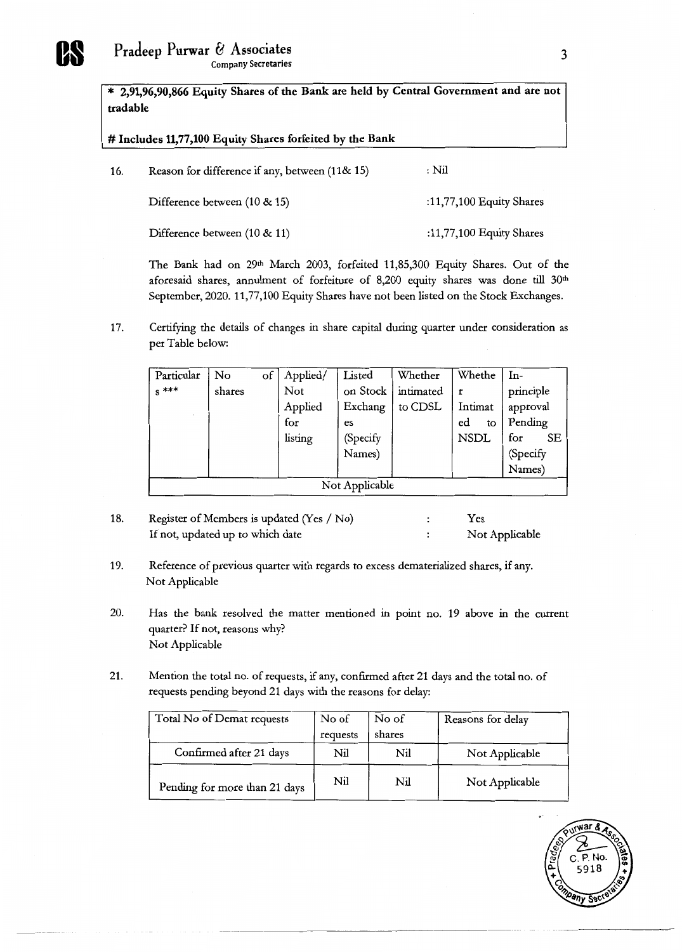**\* 2,91,96,90,866 Equity Shares of the Bank are held by Central Government and are not tradable** 

**# Includes 11,77,100 Equity Shares forfeited by the Bank** 

| 16. | Reason for difference if any, between (11& 15) | : Nil                    |
|-----|------------------------------------------------|--------------------------|
|     | Difference between (10 & 15)                   | :11,77,100 Equity Shares |
|     | Difference between (10 & 11)                   | :11,77,100 Equity Shares |

The Bank had on 29<sup>th</sup> March 2003, forfeited 11,85,300 Equity Shares. Out of the aforesaid shares, annulment of forfeiture of 8,200 equity shares was done till 30<sup>th</sup> September, 2020. 11,77,100 Equity Shares have not been listed on the Stock Exchanges.

17. Certifying the details of changes in share capital during quarter under consideration as per Table below:

| Particular     | No     | of | Applied/ | Listed    | Whether   | Whethe      | In-       |
|----------------|--------|----|----------|-----------|-----------|-------------|-----------|
| $s$ ***        | shares |    | Not      | on Stock  | intimated |             | principle |
|                |        |    | Applied  | Exchang   | to CDSL   | Intimat     | approval  |
|                |        |    | for      | <b>es</b> |           | ed<br>to    | Pending   |
|                |        |    | listing  | (Specify  |           | <b>NSDL</b> | for<br>SЕ |
|                |        |    |          | Names)    |           |             | (Specify  |
|                |        |    |          |           |           |             | Names)    |
| Not Applicable |        |    |          |           |           |             |           |

- 18. Register of Members is updated (Yes / No)  $\cdot$  Yes If not, updated up to which date  $\qquad \qquad$ : Not Applicable
- 19. Reference of previous quarter with regards to excess dematerialized shares, if any. Not Applicable
- 20. Has the bank resolved the matter mentioned in point no. 19 above in the current quarter? If not, reasons why? Not Applicable
- 21. Mention the total no. of requests, if any, confirmed after 21 days and the total no. of requests pending beyond 21 days with the reasons for delay:

| Total No of Demat requests    | No of    | No of  | Reasons for delay |
|-------------------------------|----------|--------|-------------------|
|                               | requests | shares |                   |
| Confirmed after 21 days       | Nil      | Nil    | Not Applicable    |
| Pending for more than 21 days | Nil      | Nil    | Not Applicable    |